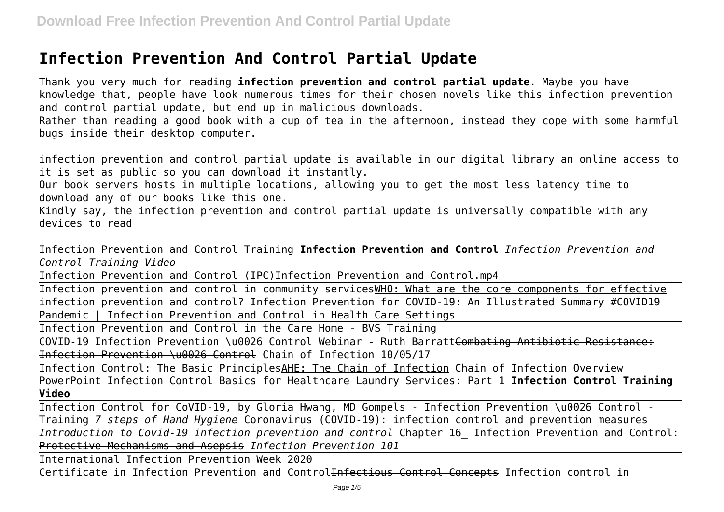## **Infection Prevention And Control Partial Update**

Thank you very much for reading **infection prevention and control partial update**. Maybe you have knowledge that, people have look numerous times for their chosen novels like this infection prevention and control partial update, but end up in malicious downloads. Rather than reading a good book with a cup of tea in the afternoon, instead they cope with some harmful bugs inside their desktop computer.

infection prevention and control partial update is available in our digital library an online access to it is set as public so you can download it instantly.

Our book servers hosts in multiple locations, allowing you to get the most less latency time to download any of our books like this one.

Kindly say, the infection prevention and control partial update is universally compatible with any devices to read

Infection Prevention and Control Training **Infection Prevention and Control** *Infection Prevention and Control Training Video*

Infection Prevention and Control (IPC)Infection Prevention and Control.mp4

Infection prevention and control in community servicesWHO: What are the core components for effective infection prevention and control? Infection Prevention for COVID-19: An Illustrated Summary #COVID19 Pandemic | Infection Prevention and Control in Health Care Settings

Infection Prevention and Control in the Care Home - BVS Training

COVID-19 Infection Prevention \u0026 Control Webinar - Ruth BarrattCombating Antibiotic Resistance: Infection Prevention \u0026 Control Chain of Infection 10/05/17

Infection Control: The Basic PrinciplesAHE: The Chain of Infection Chain of Infection Overview PowerPoint Infection Control Basics for Healthcare Laundry Services: Part 1 **Infection Control Training Video**

Infection Control for CoVID-19, by Gloria Hwang, MD Gompels - Infection Prevention \u0026 Control - Training *7 steps of Hand Hygiene* Coronavirus (COVID-19): infection control and prevention measures *Introduction to Covid-19 infection prevention and control* Chapter 16\_ Infection Prevention and Control: Protective Mechanisms and Asepsis *Infection Prevention 101*

International Infection Prevention Week 2020

Certificate in Infection Prevention and Control<del>Infectious Control Concepts</del> Infection control in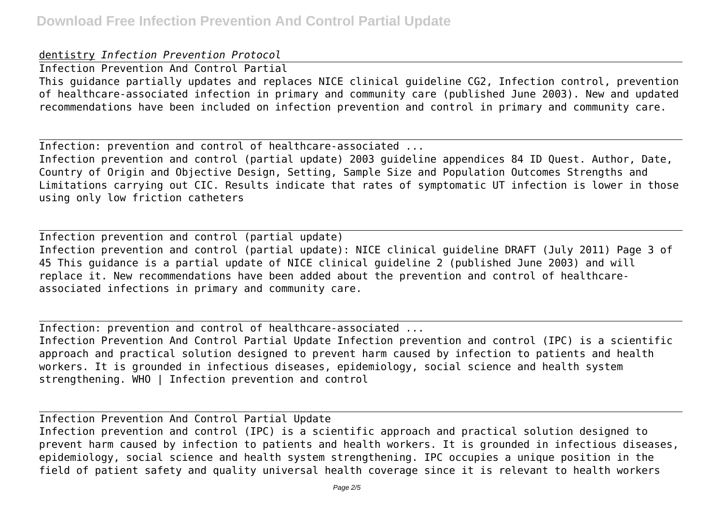## dentistry *Infection Prevention Protocol*

Infection Prevention And Control Partial This guidance partially updates and replaces NICE clinical guideline CG2, Infection control, prevention of healthcare-associated infection in primary and community care (published June 2003). New and updated recommendations have been included on infection prevention and control in primary and community care.

Infection: prevention and control of healthcare-associated ...

Infection prevention and control (partial update) 2003 guideline appendices 84 ID Quest. Author, Date, Country of Origin and Objective Design, Setting, Sample Size and Population Outcomes Strengths and Limitations carrying out CIC. Results indicate that rates of symptomatic UT infection is lower in those using only low friction catheters

Infection prevention and control (partial update) Infection prevention and control (partial update): NICE clinical guideline DRAFT (July 2011) Page 3 of 45 This guidance is a partial update of NICE clinical guideline 2 (published June 2003) and will replace it. New recommendations have been added about the prevention and control of healthcareassociated infections in primary and community care.

Infection: prevention and control of healthcare-associated ... Infection Prevention And Control Partial Update Infection prevention and control (IPC) is a scientific approach and practical solution designed to prevent harm caused by infection to patients and health workers. It is grounded in infectious diseases, epidemiology, social science and health system strengthening. WHO | Infection prevention and control

Infection Prevention And Control Partial Update Infection prevention and control (IPC) is a scientific approach and practical solution designed to prevent harm caused by infection to patients and health workers. It is grounded in infectious diseases, epidemiology, social science and health system strengthening. IPC occupies a unique position in the field of patient safety and quality universal health coverage since it is relevant to health workers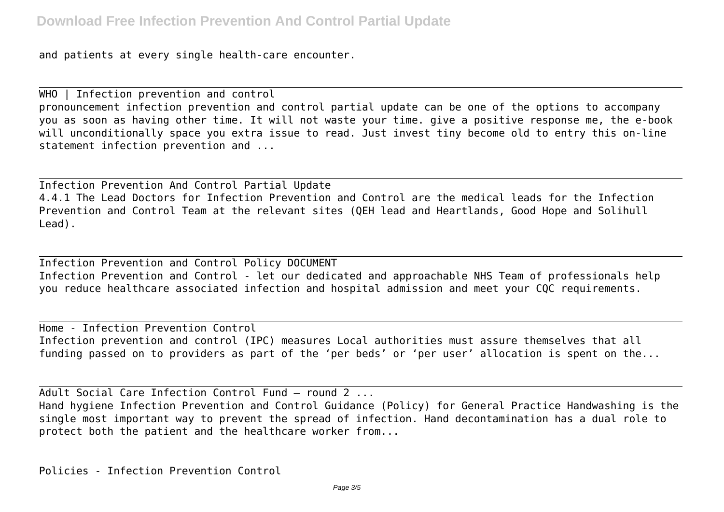and patients at every single health-care encounter.

WHO | Infection prevention and control pronouncement infection prevention and control partial update can be one of the options to accompany you as soon as having other time. It will not waste your time. give a positive response me, the e-book will unconditionally space you extra issue to read. Just invest tiny become old to entry this on-line statement infection prevention and ...

Infection Prevention And Control Partial Update 4.4.1 The Lead Doctors for Infection Prevention and Control are the medical leads for the Infection Prevention and Control Team at the relevant sites (QEH lead and Heartlands, Good Hope and Solihull Lead).

Infection Prevention and Control Policy DOCUMENT Infection Prevention and Control - let our dedicated and approachable NHS Team of professionals help you reduce healthcare associated infection and hospital admission and meet your CQC requirements.

Home - Infection Prevention Control Infection prevention and control (IPC) measures Local authorities must assure themselves that all funding passed on to providers as part of the 'per beds' or 'per user' allocation is spent on the...

Adult Social Care Infection Control Fund – round 2 ... Hand hygiene Infection Prevention and Control Guidance (Policy) for General Practice Handwashing is the single most important way to prevent the spread of infection. Hand decontamination has a dual role to protect both the patient and the healthcare worker from...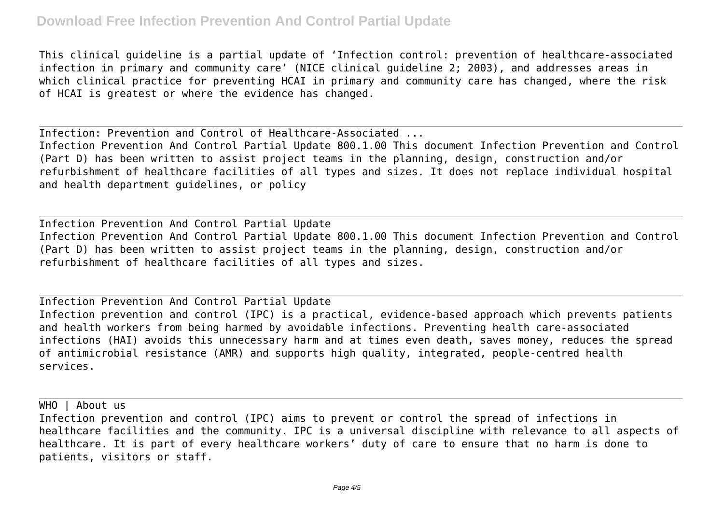## **Download Free Infection Prevention And Control Partial Update**

This clinical guideline is a partial update of 'Infection control: prevention of healthcare-associated infection in primary and community care' (NICE clinical guideline 2; 2003), and addresses areas in which clinical practice for preventing HCAI in primary and community care has changed, where the risk of HCAI is greatest or where the evidence has changed.

Infection: Prevention and Control of Healthcare-Associated ... Infection Prevention And Control Partial Update 800.1.00 This document Infection Prevention and Control (Part D) has been written to assist project teams in the planning, design, construction and/or refurbishment of healthcare facilities of all types and sizes. It does not replace individual hospital and health department guidelines, or policy

Infection Prevention And Control Partial Update Infection Prevention And Control Partial Update 800.1.00 This document Infection Prevention and Control (Part D) has been written to assist project teams in the planning, design, construction and/or refurbishment of healthcare facilities of all types and sizes.

Infection Prevention And Control Partial Update Infection prevention and control (IPC) is a practical, evidence-based approach which prevents patients and health workers from being harmed by avoidable infections. Preventing health care-associated infections (HAI) avoids this unnecessary harm and at times even death, saves money, reduces the spread of antimicrobial resistance (AMR) and supports high quality, integrated, people-centred health services.

WHO | About us

Infection prevention and control (IPC) aims to prevent or control the spread of infections in healthcare facilities and the community. IPC is a universal discipline with relevance to all aspects of healthcare. It is part of every healthcare workers' duty of care to ensure that no harm is done to patients, visitors or staff.